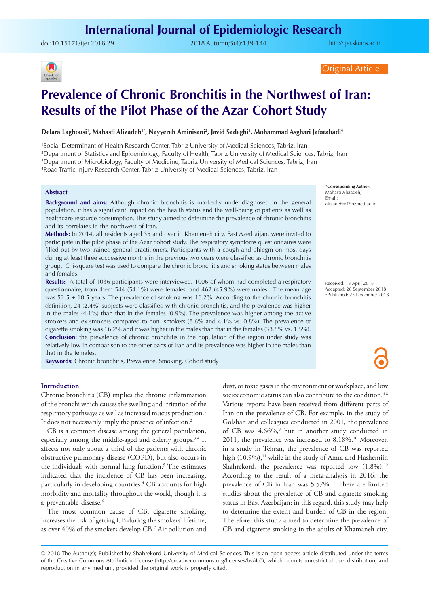doi:[10.15171/ijer.2018.29](https://doi.org/10.15171/ijer.2018.29) 2018 Autumn;5(4):139-144

<http://ijer.skums.ac.ir>



Original Article

# **Prevalence of Chronic Bronchitis in the Northwest of Iran: Results of the Pilot Phase of the Azar Cohort Study**

#### **Delara Laghousi1 , Mahasti Alizadeh1\*, Nayyereh Aminisani2 , Javid Sadeghi3 , Mohammad Asghari Jafarabadi4**

1 Social Determinant of Health Research Center, Tabriz University of Medical Sciences, Tabriz, Iran

2 Department of Statistics and Epidemiology, Faculty of Health, Tabriz University of Medical Sciences, Tabriz, Iran

3 Department of Microbiology, Faculty of Medicine, Tabriz University of Medical Sciences, Tabriz, Iran

4 Road Traffic Injury Research Center, Tabriz University of Medical Sciences, Tabriz, Iran

#### **Abstract**

**Background and aims:** Although chronic bronchitis is markedly under-diagnosed in the general population, it has a significant impact on the health status and the well-being of patients as well as healthcare resource consumption. This study aimed to determine the prevalence of chronic bronchitis and its correlates in the northwest of Iran.

**Methods:** In 2014, all residents aged 35 and over in Khameneh city, East Azerbaijan, were invited to participate in the pilot phase of the Azar cohort study. The respiratory symptoms questionnaires were filled out by two trained general practitioners. Participants with a cough and phlegm on most days during at least three successive months in the previous two years were classified as chronic bronchitis group. Chi-square test was used to compare the chronic bronchitis and smoking status between males and females.

**Results:** A total of 1036 participants were interviewed, 1006 of whom had completed a respiratory questionnaire, from them 544 (54.1%) were females, and 462 (45.9%) were males. The mean age was  $52.5 \pm 10.5$  years. The prevalence of smoking was 16.2%. According to the chronic bronchitis definition, 24 (2.4%) subjects were classified with chronic bronchitis, and the prevalence was higher in the males  $(4.1\%)$  than that in the females  $(0.9\%)$ . The prevalence was higher among the active smokers and ex-smokers compared to non- smokers (8.6% and 4.1% vs. 0.8%). The prevalence of cigarette smoking was 16.2% and it was higher in the males than that in the females (33.5% vs. 1.5%). **Conclusion:** the prevalence of chronic bronchitis in the population of the region under study was relatively low in comparison to the other parts of Iran and its prevalence was higher in the males than that in the females.

**Keywords:** Chronic bronchitis, Prevalence, Smoking, Cohort study

#### **Introduction**

Chronic bronchitis (CB) implies the chronic inflammation of the bronchi which causes the swelling and irritation of the respiratory pathways as well as increased mucus production.<sup>1</sup> It does not necessarily imply the presence of infection.<sup>2</sup>

CB is a common disease among the general population, especially among the middle-aged and elderly groups.3,4 It affects not only about a third of the patients with chronic obstructive pulmonary disease (COPD), but also occurs in the individuals with normal lung function.<sup>5</sup> The estimates indicated that the incidence of CB has been increasing, particularly in developing countries.4 CB accounts for high morbidity and mortality throughout the world, though it is a preventable disease.<sup>6</sup>

The most common cause of CB, cigarette smoking, increases the risk of getting CB during the smokers' lifetime, as over 40% of the smokers develop CB.7 Air pollution and dust, or toxic gases in the environment or workplace, and low socioeconomic status can also contribute to the condition.<sup>6,8</sup> Various reports have been received from different parts of Iran on the prevalence of CB. For example, in the study of Golshan and colleagues conducted in 2001, the prevalence of CB was 4.66%,<sup>9</sup> but in another study conducted in 2011, the prevalence was increased to 8.18%.<sup>10</sup> Moreover, in a study in Tehran, the prevalence of CB was reported high  $(10.9\%)$ ,<sup>11</sup> while in the study of Amra and Hashemiin Shahrekord, the prevalence was reported low  $(1.8\%)$ .<sup>12</sup> According to the result of a meta-analysis in 2016, the prevalence of CB in Iran was 5.57%.<sup>11</sup> There are limited studies about the prevalence of CB and cigarette smoking status in East Azerbaijan; in this regard, this study may help to determine the extent and burden of CB in the region. Therefore, this study aimed to determine the prevalence of CB and cigarette smoking in the adults of Khamaneh city,

\***Corresponding Author:** Mahasti Alizadeh, Email: alizadehm@tbzmed.ac.ir

Received: 13 April 2018 Accepted: 26 September 2018 ePublished: 25 December 2018

<sup>© 2018</sup> The Author(s); Published by Shahrekord University of Medical Sciences. This is an open-access article distributed under the terms of the Creative Commons Attribution License (http://creativecommons.org/licenses/by/4.0), which permits unrestricted use, distribution, and reproduction in any medium, provided the original work is properly cited.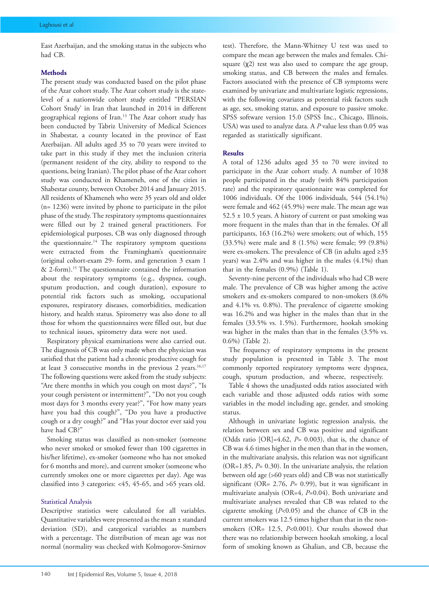East Azerbaijan, and the smoking status in the subjects who had CB.

#### **Methods**

The present study was conducted based on the pilot phase of the Azar cohort study. The Azar cohort study is the statelevel of a nationwide cohort study entitled "PERSIAN Cohort Study' in Iran that launched in 2014 in different geographical regions of Iran.13 The Azar cohort study has been conducted by Tabriz University of Medical Sciences in Shabestar, a county located in the province of East Azerbaijan. All adults aged 35 to 70 years were invited to take part in this study if they met the inclusion criteria (permanent resident of the city, ability to respond to the questions, being Iranian). The pilot phase of the Azar cohort study was conducted in Khameneh, one of the cities in Shabestar county, between October 2014 and January 2015. All residents of Khameneh who were 35 years old and older (n= 1236) were invited by phone to participate in the pilot phase of the study. The respiratory symptoms questionnaires were filled out by 2 trained general practitioners. For epidemiological purposes, CB was only diagnosed through the questionnaire.14 The respiratory symptom questions were extracted from the Framingham's questionnaire (original cohort-exam 29- form, and generation 3 exam 1 & 2-form).15 The questionnaire contained the information about the respiratory symptoms (e.g., dyspnea, cough, sputum production, and cough duration), exposure to potential risk factors such as smoking, occupational exposures, respiratory diseases, comorbidities, medication history, and health status. Spirometry was also done to all those for whom the questionnaires were filled out, but due to technical issues, spirometry data were not used.

Respiratory physical examinations were also carried out. The diagnosis of CB was only made when the physician was satisfied that the patient had a chronic productive cough for at least  $3$  consecutive months in the previous  $2$  years.<sup>16,17</sup> The following questions were asked from the study subjects: "Are there months in which you cough on most days?", "Is your cough persistent or intermittent?", "Do not you cough most days for 3 months every year?", "For how many years have you had this cough?", "Do you have a productive cough or a dry cough?" and "Has your doctor ever said you have had CB?"

Smoking status was classified as non-smoker (someone who never smoked or smoked fewer than 100 cigarettes in his/her lifetime), ex-smoker (someone who has not smoked for 6 months and more), and current smoker (someone who currently smokes one or more cigarettes per day). Age was classified into 3 categories: <45, 45-65, and >65 years old.

#### Statistical Analysis

Descriptive statistics were calculated for all variables. Quantitative variables were presented as the mean ± standard deviation (SD), and categorical variables as numbers with a percentage. The distribution of mean age was not normal (normality was checked with Kolmogorov-Smirnov

test). Therefore, the Mann-Whitney U test was used to compare the mean age between the males and females. Chisquare (χ2) test was also used to compare the age group, smoking status, and CB between the males and females. Factors associated with the presence of CB symptoms were examined by univariate and multivariate logistic regressions, with the following covariates as potential risk factors such as age, sex, smoking status, and exposure to passive smoke. SPSS software version 15.0 (SPSS Inc., Chicago, Illinois, USA) was used to analyze data. A *P* value less than 0.05 was regarded as statistically significant.

#### **Results**

A total of 1236 adults aged 35 to 70 were invited to participate in the Azar cohort study. A number of 1038 people participated in the study (with 84% participation rate) and the respiratory questionnaire was completed for 1006 individuals. Of the 1006 individuals, 544 (54.1%) were female and 462 (45.9%) were male. The mean age was  $52.5 \pm 10.5$  years. A history of current or past smoking was more frequent in the males than that in the females. Of all participants, 163 (16.2%) were smokers; out of which, 155 (33.5%) were male and 8 (1.5%) were female; 99 (9.8%) were ex-smokers. The prevalence of CB (in adults aged ≥35 years) was 2.4% and was higher in the males (4.1%) than that in the females (0.9%) (Table 1).

Seventy-nine percent of the individuals who had CB were male. The prevalence of CB was higher among the active smokers and ex-smokers compared to non-smokers (8.6% and 4.1% vs. 0.8%). The prevalence of cigarette smoking was 16.2% and was higher in the males than that in the females (33.5% vs. 1.5%). Furthermore, hookah smoking was higher in the males than that in the females (3.5% vs. 0.6%) (Table 2).

The frequency of respiratory symptoms in the present study population is presented in Table 3. The most commonly reported respiratory symptoms were dyspnea, cough, sputum production, and wheeze, respectively.

Table 4 shows the unadjusted odds ratios associated with each variable and those adjusted odds ratios with some variables in the model including age, gender, and smoking status.

Although in univariate logistic regression analysis, the relation between sex and CB was positive and significant (Odds ratio [OR]=4.62, *P*= 0.003), that is, the chance of CB was 4.6 times higher in the men than that in the women, in the multivariate analysis, this relation was not significant (OR=1.85, *P*= 0.30). In the univariate analysis, the relation between old age (>60 years old) and CB was not statistically significant (OR= 2.76, *P*= 0.99), but it was significant in multivariate analysis (OR=4, *P*=0.04). Both univariate and multivariate analyses revealed that CB was related to the cigarette smoking (*P*<0.05) and the chance of CB in the current smokers was 12.5 times higher than that in the nonsmokers (OR= 12.5, *P*<0.001). Our results showed that there was no relationship between hookah smoking, a local form of smoking known as Ghalian, and CB, because the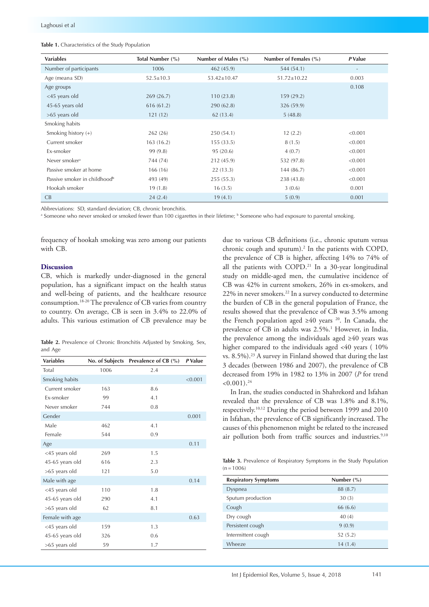|  | Table 1. Characteristics of the Study Population |  |  |  |
|--|--------------------------------------------------|--|--|--|
|--|--------------------------------------------------|--|--|--|

| <b>Variables</b>                         | Total Number (%) | Number of Males $(\% )$ | Number of Females (%) | P Value                  |
|------------------------------------------|------------------|-------------------------|-----------------------|--------------------------|
| Number of participants                   | 1006             | 462 (45.9)              | 544 (54.1)            | $\overline{\phantom{a}}$ |
| Age (mean $\pm$ SD)                      | $52.5 \pm 10.3$  | $53.42 \pm 10.47$       | $51.72 \pm 10.22$     | 0.003                    |
| Age groups                               |                  |                         |                       | 0.108                    |
| <45 years old                            | 269(26.7)        | 110(23.8)               | 159(29.2)             |                          |
| 45-65 years old                          | 616(61.2)        | 290(62.8)               | 326 (59.9)            |                          |
| $>65$ years old                          | 121(12)          | 62 (13.4)               | 5(48.8)               |                          |
| Smoking habits                           |                  |                         |                       |                          |
| Smoking history (+)                      | 262(26)          | 250(54.1)               | 12(2.2)               | < 0.001                  |
| Current smoker                           | 163(16.2)        | 155(33.5)               | 8(1.5)                | < 0.001                  |
| Ex-smoker                                | 99 (9.8)         | 95 (20.6)               | 4(0.7)                | < 0.001                  |
| Never smoker <sup>a</sup>                | 744 (74)         | 212 (45.9)              | 532 (97.8)            | < 0.001                  |
| Passive smoker at home                   | 166(16)          | 22(13.3)                | 144 (86.7)            | < 0.001                  |
| Passive smoker in childhood <sup>b</sup> | 493 (49)         | 255(55.3)               | 238 (43.8)            | < 0.001                  |
| Hookah smoker                            | 19(1.8)          | 16(3.5)                 | 3(0.6)                | 0.001                    |
| CB                                       | 24(2.4)          | 19(4.1)                 | 5(0.9)                | 0.001                    |

Abbreviations: SD, standard deviation; CB, chronic bronchitis.

<sup>a</sup> Someone who never smoked or smoked fewer than 100 cigarettes in their lifetime; <sup>b</sup> Someone who had exposure to parental smoking.

frequency of hookah smoking was zero among our patients with CB.

## **Discussion**

CB, which is markedly under-diagnosed in the general population, has a significant impact on the health status and well-being of patients, and the healthcare resource consumption.18-20 The prevalence of CB varies from country to country. On average, CB is seen in 3.4% to 22.0% of adults. This various estimation of CB prevalence may be

Table 2. Prevalence of Chronic Bronchitis Adjusted by Smoking, Sex, and Age

| <b>Variables</b> | No. of Subjects | Prevalence of CB (%) | P Value |
|------------------|-----------------|----------------------|---------|
| Total            | 1006            | 2.4                  |         |
| Smoking habits   |                 |                      | < 0.001 |
| Current smoker   | 163             | 8.6                  |         |
| <b>Fx-smoker</b> | 99              | 4.1                  |         |
| Never smoker     | 744             | 0.8                  |         |
| Gender           |                 |                      | 0.001   |
| Male             | 462             | 4.1                  |         |
| Female           | 544             | 0.9                  |         |
| Age              |                 |                      | 0.11    |
| <45 years old    | 269             | 1.5                  |         |
| 45-65 years old  | 616             | 2.3                  |         |
| >65 years old    | 121             | 5.0                  |         |
| Male with age    |                 |                      | 0.14    |
| <45 years old    | 110             | 1.8                  |         |
| 45-65 years old  | 290             | 4.1                  |         |
| >65 years old    | 62              | 8.1                  |         |
| Female with age  |                 |                      | 0.63    |
| <45 years old    | 159             | 1.3                  |         |
| 45-65 years old  | 326             | 0.6                  |         |
| >65 years old    | 59              | 1.7                  |         |

due to various CB definitions (i.e., chronic sputum versus chronic cough and sputum).<sup>2</sup> In the patients with COPD, the prevalence of CB is higher, affecting 14% to 74% of all the patients with COPD.<sup>21</sup> In a 30-year longitudinal study on middle-aged men, the cumulative incidence of CB was 42% in current smokers, 26% in ex-smokers, and 22% in never smokers.<sup>22</sup> In a survey conducted to determine the burden of CB in the general population of France, the results showed that the prevalence of CB was 3.5% among the French population aged  $\geq 40$  years <sup>20</sup>. In Canada, the prevalence of CB in adults was 2.5%.<sup>1</sup> However, in India, the prevalence among the individuals aged ≥40 years was higher compared to the individuals aged <40 years ( 10% vs. 8.5%).<sup>23</sup> A survey in Finland showed that during the last 3 decades (between 1986 and 2007), the prevalence of CB decreased from 19% in 1982 to 13% in 2007 (*P* for trend  $< 0.001$ ).<sup>24</sup>

 In Iran, the studies conducted in Shahrekord and Isfahan revealed that the prevalence of CB was 1.8% and 8.1%, respectively.10,12 During the period between 1999 and 2010 in Isfahan, the prevalence of CB significantly increased. The causes of this phenomenon might be related to the increased air pollution both from traffic sources and industries.<sup>9,10</sup>

**Table 3.** Prevalence of Respiratory Symptoms in the Study Population  $(n = 1006)$ 

| <b>Respiratory Symptoms</b> | Number $(\% )$ |
|-----------------------------|----------------|
| Dyspnea                     | 88 (8.7)       |
| Sputum production           | 30(3)          |
| Cough                       | 66 (6.6)       |
| Dry cough                   | 40(4)          |
| Persistent cough            | 9(0.9)         |
| Intermittent cough          | 52(5.2)        |
| Wheeze                      | 14(1.4)        |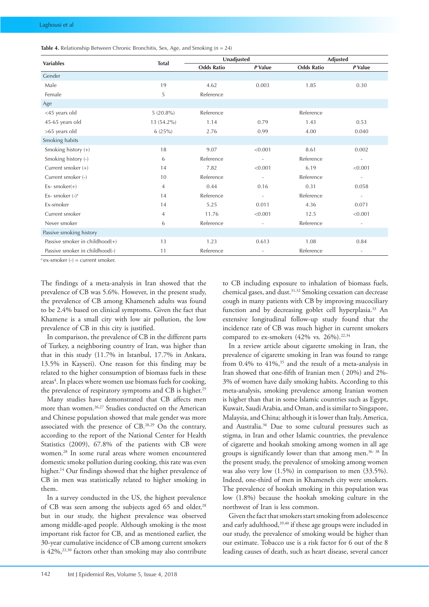| <b>Table 4.</b> Relationship Between Chronic Bronchitis, Sex, Age, and Smoking ( $n = 24$ ) |  |  |  |
|---------------------------------------------------------------------------------------------|--|--|--|
|---------------------------------------------------------------------------------------------|--|--|--|

|                                   |                | Unadjusted        |                          | <b>Adjusted</b>   |                          |
|-----------------------------------|----------------|-------------------|--------------------------|-------------------|--------------------------|
| <b>Variables</b>                  | <b>Total</b>   | <b>Odds Ratio</b> | P Value                  | <b>Odds Ratio</b> | P Value                  |
| Gender                            |                |                   |                          |                   |                          |
| Male                              | 19             | 4.62              | 0.003                    | 1.85              | 0.30                     |
| Female                            | 5              | Reference         |                          |                   |                          |
| Age                               |                |                   |                          |                   |                          |
| <45 years old                     | $5(20.8\%)$    | Reference         |                          | Reference         |                          |
| 45-65 years old                   | 13 (54.2%)     | 1.14              | 0.79                     | 1.43              | 0.53                     |
| >65 years old                     | 6(25%)         | 2.76              | 0.99                     | 4.00              | 0.040                    |
| Smoking habits                    |                |                   |                          |                   |                          |
| Smoking history (+)               | 18             | 9.07              | < 0.001                  | 8.61              | 0.002                    |
| Smoking history (-)               | 6              | Reference         | $\overline{a}$           | Reference         | $\overline{\phantom{a}}$ |
| Current smoker $(+)$              | 14             | 7.82              | < 0.001                  | 6.19              | < 0.001                  |
| Current smoker (-)                | 10             | Reference         | $\overline{\phantom{a}}$ | Reference         | $\overline{\phantom{a}}$ |
| $Ex-$ smoker $(+)$                | $\overline{4}$ | 0.44              | 0.16                     | 0.31              | 0.058                    |
| Ex-smoker $(-)^a$                 | 14             | Reference         | $\overline{\phantom{a}}$ | Reference         | $\overline{\phantom{a}}$ |
| Ex-smoker                         | 14             | 5.25              | 0.011                    | 4.36              | 0.071                    |
| Current smoker                    | 4              | 11.76             | < 0.001                  | 12.5              | < 0.001                  |
| Never smoker                      | 6              | Reference         | $\overline{a}$           | Reference         | $\overline{\phantom{a}}$ |
| Passive smoking history           |                |                   |                          |                   |                          |
| Passive smoker in childhood $(+)$ | 13             | 1.23              | 0.613                    | 1.08              | 0.84                     |
| Passive smoker in childhood(-)    | 11             | Reference         | $\overline{a}$           | Reference         | $\overline{\phantom{a}}$ |

 $a$  ex-smoker (-) = current smoker.

The findings of a meta-analysis in Iran showed that the prevalence of CB was 5.6%. However, in the present study, the prevalence of CB among Khameneh adults was found to be 2.4% based on clinical symptoms. Given the fact that Khamene is a small city with low air pollution, the low prevalence of CB in this city is justified.

In comparison, the prevalence of CB in the different parts of Turkey, a neighboring country of Iran, was higher than that in this study (11.7% in Istanbul, 17.7% in Ankara, 13.5% in Kayseri). One reason for this finding may be related to the higher consumption of biomass fuels in these areas<sup>4</sup>. In places where women use biomass fuels for cooking, the prevalence of respiratory symptoms and CB is higher.<sup>25</sup>

Many studies have demonstrated that CB affects men more than women.<sup>26,27</sup> Studies conducted on the American and Chinese population showed that male gender was more associated with the presence of CB.28,29 On the contrary, according to the report of the National Center for Health Statistics (2009), 67.8% of the patients with CB were women.28 In some rural areas where women encountered domestic smoke pollution during cooking, this rate was even higher.<sup>14</sup> Our findings showed that the higher prevalence of CB in men was statistically related to higher smoking in them.

In a survey conducted in the US, the highest prevalence of CB was seen among the subjects aged 65 and older,<sup>28</sup> but in our study, the highest prevalence was observed among middle-aged people. Although smoking is the most important risk factor for CB, and as mentioned earlier, the 30-year cumulative incidence of CB among current smokers is  $42\%$ ,<sup>22,30</sup> factors other than smoking may also contribute

to CB including exposure to inhalation of biomass fuels, chemical gases, and dust.<sup>31,32</sup> Smoking cessation can decrease cough in many patients with CB by improving mucociliary function and by decreasing goblet cell hyperplasia.<sup>33</sup> An extensive longitudinal follow-up study found that the incidence rate of CB was much higher in current smokers compared to ex-smokers (42% vs. 26%).<sup>22,34</sup>

In a review article about cigarette smoking in Iran, the prevalence of cigarette smoking in Iran was found to range from  $0.4\%$  to  $41\%,35$  and the result of a meta-analysis in Iran showed that one-fifth of Iranian men ( 20%) and 2%- 3% of women have daily smoking habits. According to this meta-analysis, smoking prevalence among Iranian women is higher than that in some Islamic countries such as Egypt, Kuwait, Saudi Arabia, and Oman, and is similar to Singapore, Malaysia, and China; although it is lower than Italy, America, and Australia.<sup>36</sup> Due to some cultural pressures such as stigma, in Iran and other Islamic countries, the prevalence of cigarette and hookah smoking among women in all age groups is significantly lower than that among men.<sup>36-38</sup> In the present study, the prevalence of smoking among women was also very low (1.5%) in comparison to men (33.5%). Indeed, one-third of men in Khameneh city were smokers. The prevalence of hookah smoking in this population was low (1.8%) because the hookah smoking culture in the northwest of Iran is less common.

Given the fact that smokers start smoking from adolescence and early adulthood,<sup>39,40</sup> if these age groups were included in our study, the prevalence of smoking would be higher than our estimate. Tobacco use is a risk factor for 6 out of the 8 leading causes of death, such as heart disease, several cancer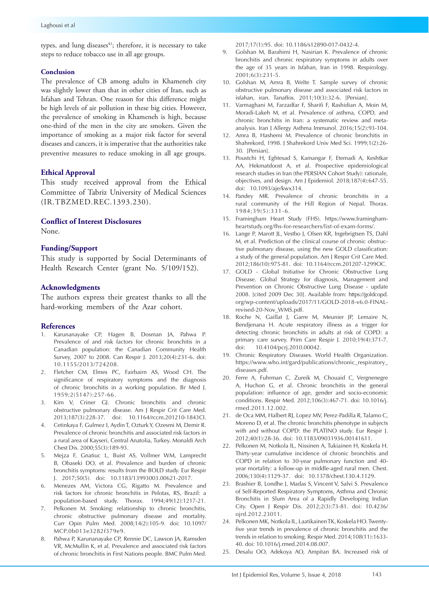types, and lung diseases<sup>41</sup>; therefore, it is necessary to take steps to reduce tobacco use in all age groups.

#### **Conclusion**

The prevalence of CB among adults in Khameneh city was slightly lower than that in other cities of Iran, such as Isfahan and Tehran. One reason for this difference might be high levels of air pollution in these big cities. However, the prevalence of smoking in Khameneh is high, because one-third of the men in the city are smokers. Given the importance of smoking as a major risk factor for several diseases and cancers, it is imperative that the authorities take preventive measures to reduce smoking in all age groups.

# **Ethical Approval**

This study received approval from the Ethical Committee of Tabriz University of Medical Sciences (IR.TBZMED.REC.1393.230).

## **Conflict of Interest Disclosures**

None.

# **Funding/Support**

This study is supported by Social Determinants of Health Research Center (grant No. 5/109/152).

# **Acknowledgments**

The authors express their greatest thanks to all the hard-working members of the Azar cohort.

## **References**

- 1. Karunanayake CP, Hagen B, Dosman JA, Pahwa P. Prevalence of and risk factors for chronic bronchitis in a Canadian population: the Canadian Community Health Survey, 2007 to 2008. Can Respir J. 2013;20(4):231-6. doi: 10.1155/2013/724208.
- 2. Fletcher CM, Elmes PC, Fairbairn AS, Wood CH. The significance of respiratory symptoms and the diagnosis of chronic bronchitis in a working population. Br Med J. 1959;2(5147):257-66.
- 3. Kim V, Criner GJ. Chronic bronchitis and chronic obstructive pulmonary disease. Am J Respir Crit Care Med. 2013;187(3):228-37. doi: 10.1164/rccm.201210-1843CI.
- 4. Cetinkaya F, Gulmez I, Aydin T, Ozturk Y, Ozesmi M, Demir R. Prevalence of chronic bronchitis and associated risk factors in a rural area of Kayseri, Central Anatolia, Turkey. Monaldi Arch Chest Dis. 2000;55(3):189-93.
- 5. Mejza F, Gnatiuc L, Buist AS, Vollmer WM, Lamprecht B, Obaseki DO, et al. Prevalence and burden of chronic bronchitis symptoms: results from the BOLD study. Eur Respir J. 2017;50(5). doi: 10.1183/13993003.00621-2017.
- 6. Menezes AM, Victora CG, Rigatto M. Prevalence and risk factors for chronic bronchitis in Pelotas, RS, Brazil: a population-based study. Thorax. 1994;49(12):1217-21.
- 7. Pelkonen M. Smoking: relationship to chronic bronchitis, chronic obstructive pulmonary disease and mortality. Curr Opin Pulm Med. 2008;14(2):105-9. doi: 10.1097/ MCP.0b013e3282f379e9.
- 8. Pahwa P, Karunanayake CP, Rennie DC, Lawson JA, Ramsden VR, McMullin K, et al. Prevalence and associated risk factors of chronic bronchitis in First Nations people. BMC Pulm Med.

2017;17(1):95. doi: 10.1186/s12890-017-0432-4.

- 9. Golshan M, Barahimi H, Nasirian K. Prevalence of chronic bronchitis and chronic respiratory symptoms in adults over the age of 35 years in Isfahan, Iran in 1998. Respirology. 2001;6(3):231-5.
- 10. Golshan M, Amra B, Welte T. Sample survey of chronic obstructive pulmonary disease and associated risk factors in isfahan, iran. Tanaffos. 2011;10(3):32-6. [Persian].
- 11. Varmaghani M, Farzadfar F, Sharifi F, Rashidian A, Moin M, Moradi-Lakeh M, et al. Prevalence of asthma, COPD, and chronic bronchitis in Iran: a systematic review and metaanalysis. Iran J Allergy Asthma Immunol. 2016;15(2):93-104.
- 12. Amra B, Hashemi M. Prevalence of chronic bronchitis in Shahrekord, 1998. J Shahrekord Univ Med Sci. 1999;1(2):26- 30. [Persian].
- 13. Poustchi H, Eghtesad S, Kamangar F, Etemadi A, Keshtkar AA, Hekmatdoost A, et al. Prospective epidemiological research studies in Iran (the PERSIAN Cohort Study): rationale, objectives, and design. Am J Epidemiol. 2018;187(4):647-55. doi: 10.1093/aje/kwx314.
- 14. Pandey MR. Prevalence of chronic bronchitis in a rural community of the Hill Region of Nepal. Thorax. 1984;39(5):331-6.
- 15. Framingham Heart Study (FHS). [https://www.framingham](https://www.framinghamheartstudy.org/fhs-for-researchers/list-of-exam-forms/)[heartstudy.org/fhs-for-researchers/list-of-exam-forms/.](https://www.framinghamheartstudy.org/fhs-for-researchers/list-of-exam-forms/)
- 16. Lange P, Marott JL, Vestbo J, Olsen KR, Ingebrigtsen TS, Dahl M, et al. Prediction of the clinical course of chronic obstructive pulmonary disease, using the new GOLD classification: a study of the general population. Am J Respir Crit Care Med. 2012;186(10):975-81. doi: 10.1164/rccm.201207-1299OC.
- 17. GOLD Global Initiative for Chronic Obstructive Lung Disease. Global Strategy for diagnosis, Management and Prevention on Chronic Obstructive Lung Disease - update 2008. [cited 2009 Dec 30]. Available from: [https://goldcopd.](https://goldcopd.org/wp-content/uploads/2017/11/GOLD-2018-v6.0-FINAL-revised-20-Nov_WMS.pdf) [org/wp-content/uploads/2017/11/GOLD-2018-v6.0-FINAL](https://goldcopd.org/wp-content/uploads/2017/11/GOLD-2018-v6.0-FINAL-revised-20-Nov_WMS.pdf)[revised-20-Nov\\_WMS.pdf](https://goldcopd.org/wp-content/uploads/2017/11/GOLD-2018-v6.0-FINAL-revised-20-Nov_WMS.pdf).
- 18. Roche N, Gaillat J, Garre M, Meunier JP, Lemaire N, Bendjenana H. Acute respiratory illness as a trigger for detecting chronic bronchitis in adults at risk of COPD: a primary care survey. Prim Care Respir J. 2010;19(4):371-7. doi: 10.4104/pcrj.2010.00042.
- 19. Chronic Respiratory Diseases. World Health Organization. [https://www.who.int/gard/publications/chronic\\_respiratory\\_](https://www.who.int/gard/publications/chronic_respiratory_diseases.pdf) [diseases.pdf](https://www.who.int/gard/publications/chronic_respiratory_diseases.pdf).
- 20. Ferre A, Fuhrman C, Zureik M, Chouaid C, Vergnenegre A, Huchon G, et al. Chronic bronchitis in the general population: influence of age, gender and socio-economic conditions. Respir Med. 2012;106(3):467-71. doi: 10.1016/j. rmed.2011.12.002.
- 21. de Oca MM, Halbert RJ, Lopez MV, Perez-Padilla R, Talamo C, Moreno D, et al. The chronic bronchitis phenotype in subjects with and without COPD: the PLATINO study. Eur Respir J. 2012;40(1):28-36. doi: 10.1183/09031936.00141611.
- 22. Pelkonen M, Notkola IL, Nissinen A, Tukiainen H, Koskela H. Thirty-year cumulative incidence of chronic bronchitis and COPD in relation to 30-year pulmonary function and 40 year mortality: a follow-up in middle-aged rural men. Chest. 2006;130(4):1129-37. doi: 10.1378/chest.130.4.1129.
- 23. Brashier B, Londhe J, Madas S, Vincent V, Salvi S. Prevalence of Self-Reported Respiratory Symptoms, Asthma and Chronic Bronchitis in Slum Area of a Rapidly Developing Indian City. Open J Respir Dis. 2012;2(3):73-81. doi: 10.4236/ ojrd.2012.23011.
- 24. Pelkonen MK, Notkola IL, Laatikainen TK, Koskela HO. Twentyfive year trends in prevalence of chronic bronchitis and the trends in relation to smoking. Respir Med. 2014;108(11):1633- 40. doi: 10.1016/j.rmed.2014.08.007.
- 25. Desalu OO, Adekoya AO, Ampitan BA. Increased risk of